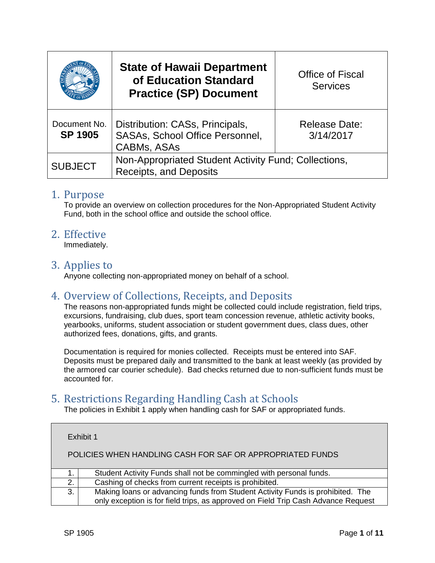|                                | <b>State of Hawaii Department</b><br>of Education Standard<br><b>Practice (SP) Document</b> | <b>Office of Fiscal</b><br><b>Services</b> |
|--------------------------------|---------------------------------------------------------------------------------------------|--------------------------------------------|
| Document No.<br><b>SP 1905</b> | Distribution: CASs, Principals,<br>SASAs, School Office Personnel,<br><b>CABMs, ASAs</b>    | <b>Release Date:</b><br>3/14/2017          |
| <b>SUBJECT</b>                 | Non-Appropriated Student Activity Fund; Collections,<br><b>Receipts, and Deposits</b>       |                                            |

### 1. Purpose

To provide an overview on collection procedures for the Non-Appropriated Student Activity Fund, both in the school office and outside the school office.

### 2. Effective

Immediately.

### 3. Applies to

Anyone collecting non-appropriated money on behalf of a school.

### 4. Overview of Collections, Receipts, and Deposits

The reasons non-appropriated funds might be collected could include registration, field trips, excursions, fundraising, club dues, sport team concession revenue, athletic activity books, yearbooks, uniforms, student association or student government dues, class dues, other authorized fees, donations, gifts, and grants.

Documentation is required for monies collected. Receipts must be entered into SAF. Deposits must be prepared daily and transmitted to the bank at least weekly (as provided by the armored car courier schedule). Bad checks returned due to non-sufficient funds must be accounted for.

### 5. Restrictions Regarding Handling Cash at Schools

The policies in Exhibit 1 apply when handling cash for SAF or appropriated funds.

|    | Exhibit 1                                                                                                                                                           |
|----|---------------------------------------------------------------------------------------------------------------------------------------------------------------------|
|    | POLICIES WHEN HANDLING CASH FOR SAF OR APPROPRIATED FUNDS                                                                                                           |
|    | Student Activity Funds shall not be commingled with personal funds.                                                                                                 |
| 2. | Cashing of checks from current receipts is prohibited.                                                                                                              |
| 3. | Making loans or advancing funds from Student Activity Funds is prohibited. The<br>only exception is for field trips, as approved on Field Trip Cash Advance Request |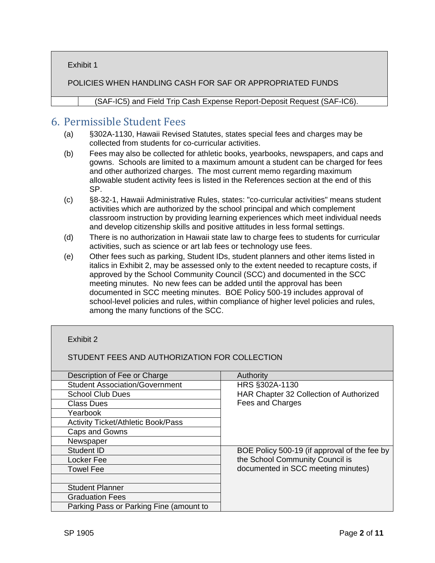Exhibit 1

POLICIES WHEN HANDLING CASH FOR SAF OR APPROPRIATED FUNDS

(SAF-IC5) and Field Trip Cash Expense Report-Deposit Request (SAF-IC6).

### 6. Permissible Student Fees

- (a) §302A-1130, Hawaii Revised Statutes, states special fees and charges may be collected from students for co-curricular activities.
- (b) Fees may also be collected for athletic books, yearbooks, newspapers, and caps and gowns. Schools are limited to a maximum amount a student can be charged for fees and other authorized charges. The most current memo regarding maximum allowable student activity fees is listed in the References section at the end of this SP.
- (c) §8-32-1, Hawaii Administrative Rules, states: "co-curricular activities" means student activities which are authorized by the school principal and which complement classroom instruction by providing learning experiences which meet individual needs and develop citizenship skills and positive attitudes in less formal settings.
- (d) There is no authorization in Hawaii state law to charge fees to students for curricular activities, such as science or art lab fees or technology use fees.
- (e) Other fees such as parking, Student IDs, student planners and other items listed in italics in Exhibit 2, may be assessed only to the extent needed to recapture costs, if approved by the School Community Council (SCC) and documented in the SCC meeting minutes. No new fees can be added until the approval has been documented in SCC meeting minutes. BOE Policy 500-19 includes approval of school-level policies and rules, within compliance of higher level policies and rules, among the many functions of the SCC.

#### Exhibit 2

STUDENT FEES AND AUTHORIZATION FOR COLLECTION

| Description of Fee or Charge              | Authority                                    |
|-------------------------------------------|----------------------------------------------|
| <b>Student Association/Government</b>     | HRS §302A-1130                               |
| <b>School Club Dues</b>                   | HAR Chapter 32 Collection of Authorized      |
| <b>Class Dues</b>                         | <b>Fees and Charges</b>                      |
| Yearbook                                  |                                              |
| <b>Activity Ticket/Athletic Book/Pass</b> |                                              |
| Caps and Gowns                            |                                              |
| Newspaper                                 |                                              |
| Student ID                                | BOE Policy 500-19 (if approval of the fee by |
| Locker Fee                                | the School Community Council is              |
| <b>Towel Fee</b>                          | documented in SCC meeting minutes)           |
|                                           |                                              |
| <b>Student Planner</b>                    |                                              |
| <b>Graduation Fees</b>                    |                                              |
| Parking Pass or Parking Fine (amount to   |                                              |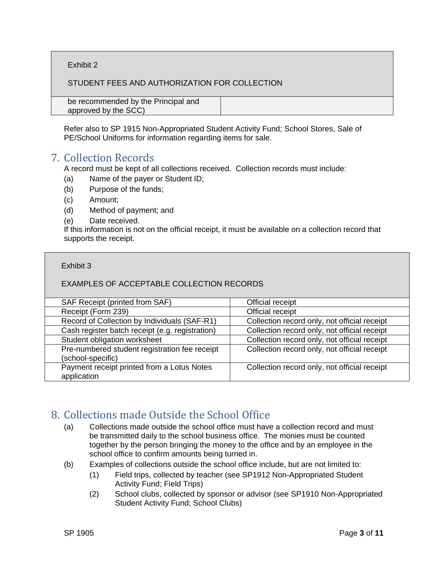Exhibit 2

STUDENT FEES AND AUTHORIZATION FOR COLLECTION

| be recommended by the Principal and |  |
|-------------------------------------|--|
|                                     |  |
| approved by the SCC)                |  |

Refer also to SP 1915 Non-Appropriated Student Activity Fund; School Stores, Sale of PE/School Uniforms for information regarding items for sale.

# 7. Collection Records

A record must be kept of all collections received. Collection records must include:

- (a) Name of the payer or Student ID;
- (b) Purpose of the funds;
- (c) Amount;
- (d) Method of payment; and
- (e) Date received.

If this information is not on the official receipt, it must be available on a collection record that supports the receipt.

#### Exhibit 3

#### EXAMPLES OF ACCEPTABLE COLLECTION RECORDS

| SAF Receipt (printed from SAF)                                     | Official receipt                             |
|--------------------------------------------------------------------|----------------------------------------------|
| Receipt (Form 239)                                                 | Official receipt                             |
| Record of Collection by Individuals (SAF-R1)                       | Collection record only, not official receipt |
| Cash register batch receipt (e.g. registration)                    | Collection record only, not official receipt |
| Student obligation worksheet                                       | Collection record only, not official receipt |
| Pre-numbered student registration fee receipt<br>(school-specific) | Collection record only, not official receipt |
| Payment receipt printed from a Lotus Notes<br>application          | Collection record only, not official receipt |

### 8. Collections made Outside the School Office

- (a) Collections made outside the school office must have a collection record and must be transmitted daily to the school business office. The monies must be counted together by the person bringing the money to the office and by an employee in the school office to confirm amounts being turned in.
- (b) Examples of collections outside the school office include, but are not limited to:
	- (1) Field trips, collected by teacher (see SP1912 Non-Appropriated Student Activity Fund; Field Trips)
	- (2) School clubs, collected by sponsor or advisor (see SP1910 Non-Appropriated Student Activity Fund; School Clubs)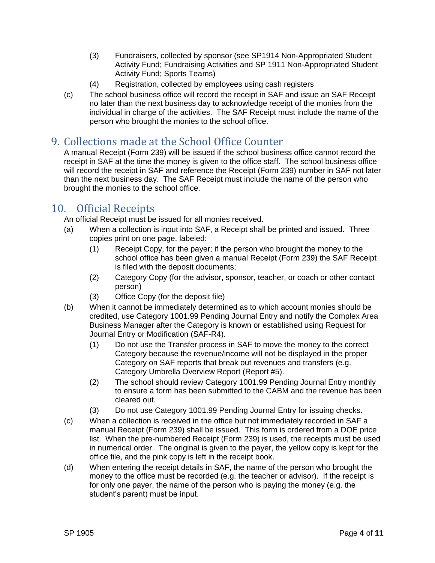- (3) Fundraisers, collected by sponsor (see SP1914 Non-Appropriated Student Activity Fund; Fundraising Activities and SP 1911 Non-Appropriated Student Activity Fund; Sports Teams)
- (4) Registration, collected by employees using cash registers
- (c) The school business office will record the receipt in SAF and issue an SAF Receipt no later than the next business day to acknowledge receipt of the monies from the individual in charge of the activities. The SAF Receipt must include the name of the person who brought the monies to the school office.

# 9. Collections made at the School Office Counter

A manual Receipt (Form 239) will be issued if the school business office cannot record the receipt in SAF at the time the money is given to the office staff. The school business office will record the receipt in SAF and reference the Receipt (Form 239) number in SAF not later than the next business day. The SAF Receipt must include the name of the person who brought the monies to the school office.

# 10. Official Receipts

An official Receipt must be issued for all monies received.

- (a) When a collection is input into SAF, a Receipt shall be printed and issued. Three copies print on one page, labeled:
	- (1) Receipt Copy, for the payer; if the person who brought the money to the school office has been given a manual Receipt (Form 239) the SAF Receipt is filed with the deposit documents;
	- (2) Category Copy (for the advisor, sponsor, teacher, or coach or other contact person)
	- (3) Office Copy (for the deposit file)
- (b) When it cannot be immediately determined as to which account monies should be credited, use Category 1001.99 Pending Journal Entry and notify the Complex Area Business Manager after the Category is known or established using Request for Journal Entry or Modification (SAF-R4).
	- (1) Do not use the Transfer process in SAF to move the money to the correct Category because the revenue/income will not be displayed in the proper Category on SAF reports that break out revenues and transfers (e.g. Category Umbrella Overview Report (Report #5).
	- (2) The school should review Category 1001.99 Pending Journal Entry monthly to ensure a form has been submitted to the CABM and the revenue has been cleared out.
	- (3) Do not use Category 1001.99 Pending Journal Entry for issuing checks.
- (c) When a collection is received in the office but not immediately recorded in SAF a manual Receipt (Form 239) shall be issued. This form is ordered from a DOE price list. When the pre-numbered Receipt (Form 239) is used, the receipts must be used in numerical order. The original is given to the payer, the yellow copy is kept for the office file, and the pink copy is left in the receipt book.
- (d) When entering the receipt details in SAF, the name of the person who brought the money to the office must be recorded (e.g. the teacher or advisor). If the receipt is for only one payer, the name of the person who is paying the money (e.g. the student's parent) must be input.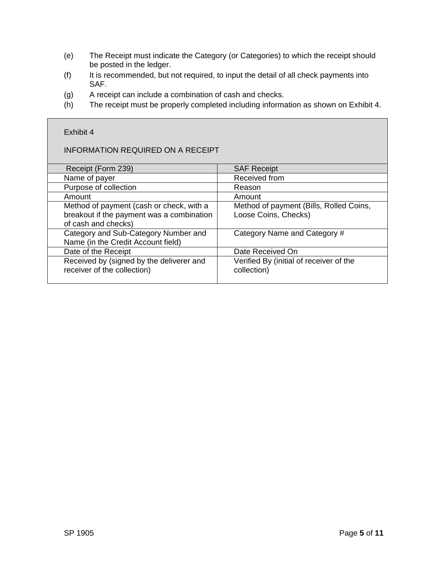- (e) The Receipt must indicate the Category (or Categories) to which the receipt should be posted in the ledger.
- (f) It is recommended, but not required, to input the detail of all check payments into SAF.
- (g) A receipt can include a combination of cash and checks.
- (h) The receipt must be properly completed including information as shown on Exhibit 4.

# INFORMATION REQUIRED ON A RECEIPT

Exhibit 4

| Receipt (Form 239)                        | <b>SAF Receipt</b>                      |
|-------------------------------------------|-----------------------------------------|
| Name of payer                             | Received from                           |
| Purpose of collection                     | Reason                                  |
| Amount                                    | Amount                                  |
| Method of payment (cash or check, with a  | Method of payment (Bills, Rolled Coins, |
| breakout if the payment was a combination | Loose Coins, Checks)                    |
| of cash and checks)                       |                                         |
| Category and Sub-Category Number and      | Category Name and Category #            |
| Name (in the Credit Account field)        |                                         |
| Date of the Receipt                       | Date Received On                        |
| Received by (signed by the deliverer and  | Verified By (initial of receiver of the |
| receiver of the collection)               | collection)                             |
|                                           |                                         |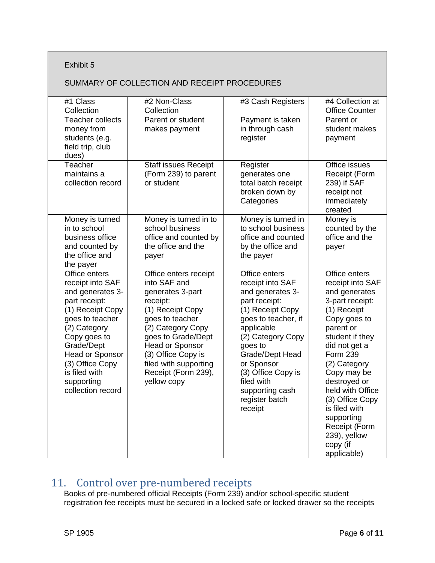#### Exhibit 5

#### SUMMARY OF COLLECTION AND RECEIPT PROCEDURES

| #1 Class<br>Collection                                                                                                                                                                                                                                | #2 Non-Class<br>Collection                                                                                                                                                                                                                                             | #3 Cash Registers                                                                                                                                                                                                                                                                    | #4 Collection at<br><b>Office Counter</b>                                                                                                                                                                                                                                                                                                                 |
|-------------------------------------------------------------------------------------------------------------------------------------------------------------------------------------------------------------------------------------------------------|------------------------------------------------------------------------------------------------------------------------------------------------------------------------------------------------------------------------------------------------------------------------|--------------------------------------------------------------------------------------------------------------------------------------------------------------------------------------------------------------------------------------------------------------------------------------|-----------------------------------------------------------------------------------------------------------------------------------------------------------------------------------------------------------------------------------------------------------------------------------------------------------------------------------------------------------|
| <b>Teacher collects</b><br>money from<br>students (e.g.<br>field trip, club<br>dues)                                                                                                                                                                  | Parent or student<br>makes payment                                                                                                                                                                                                                                     | Payment is taken<br>in through cash<br>register                                                                                                                                                                                                                                      | Parent or<br>student makes<br>payment                                                                                                                                                                                                                                                                                                                     |
| Teacher<br>maintains a<br>collection record                                                                                                                                                                                                           | <b>Staff issues Receipt</b><br>(Form 239) to parent<br>or student                                                                                                                                                                                                      | Register<br>generates one<br>total batch receipt<br>broken down by<br>Categories                                                                                                                                                                                                     | Office issues<br>Receipt (Form<br>239) if SAF<br>receipt not<br>immediately<br>created                                                                                                                                                                                                                                                                    |
| Money is turned<br>in to school<br>business office<br>and counted by<br>the office and<br>the payer                                                                                                                                                   | Money is turned in to<br>school business<br>office and counted by<br>the office and the<br>payer                                                                                                                                                                       | Money is turned in<br>to school business<br>office and counted<br>by the office and<br>the payer                                                                                                                                                                                     | Money is<br>counted by the<br>office and the<br>payer                                                                                                                                                                                                                                                                                                     |
| Office enters<br>receipt into SAF<br>and generates 3-<br>part receipt:<br>(1) Receipt Copy<br>goes to teacher<br>(2) Category<br>Copy goes to<br>Grade/Dept<br>Head or Sponsor<br>(3) Office Copy<br>is filed with<br>supporting<br>collection record | Office enters receipt<br>into SAF and<br>generates 3-part<br>receipt:<br>(1) Receipt Copy<br>goes to teacher<br>(2) Category Copy<br>goes to Grade/Dept<br><b>Head or Sponsor</b><br>(3) Office Copy is<br>filed with supporting<br>Receipt (Form 239),<br>yellow copy | Office enters<br>receipt into SAF<br>and generates 3-<br>part receipt:<br>(1) Receipt Copy<br>goes to teacher, if<br>applicable<br>(2) Category Copy<br>goes to<br>Grade/Dept Head<br>or Sponsor<br>(3) Office Copy is<br>filed with<br>supporting cash<br>register batch<br>receipt | Office enters<br>receipt into SAF<br>and generates<br>3-part receipt:<br>(1) Receipt<br>Copy goes to<br>parent or<br>student if they<br>did not get a<br><b>Form 239</b><br>(2) Category<br>Copy may be<br>destroyed or<br>held with Office<br>(3) Office Copy<br>is filed with<br>supporting<br>Receipt (Form<br>239), yellow<br>copy (if<br>applicable) |

### 11. Control over pre-numbered receipts

Books of pre-numbered official Receipts (Form 239) and/or school-specific student registration fee receipts must be secured in a locked safe or locked drawer so the receipts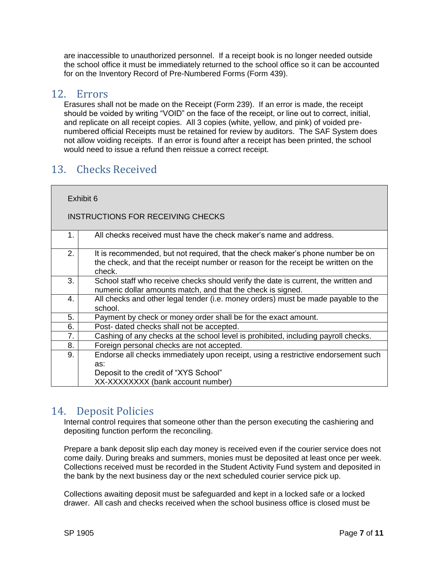are inaccessible to unauthorized personnel. If a receipt book is no longer needed outside the school office it must be immediately returned to the school office so it can be accounted for on the Inventory Record of Pre-Numbered Forms (Form 439).

#### 12. Errors

Erasures shall not be made on the Receipt (Form 239). If an error is made, the receipt should be voided by writing "VOID" on the face of the receipt, or line out to correct, initial, and replicate on all receipt copies. All 3 copies (white, yellow, and pink) of voided prenumbered official Receipts must be retained for review by auditors. The SAF System does not allow voiding receipts. If an error is found after a receipt has been printed, the school would need to issue a refund then reissue a correct receipt.

# 13. Checks Received

| Exhibit 6 |                                                                                                                                                                                |  |
|-----------|--------------------------------------------------------------------------------------------------------------------------------------------------------------------------------|--|
|           | <b>INSTRUCTIONS FOR RECEIVING CHECKS</b>                                                                                                                                       |  |
| 1.        | All checks received must have the check maker's name and address.                                                                                                              |  |
| 2.        | It is recommended, but not required, that the check maker's phone number be on<br>the check, and that the receipt number or reason for the receipt be written on the<br>check. |  |
| 3.        | School staff who receive checks should verify the date is current, the written and<br>numeric dollar amounts match, and that the check is signed.                              |  |
| 4.        | All checks and other legal tender (i.e. money orders) must be made payable to the<br>school.                                                                                   |  |
| 5.        | Payment by check or money order shall be for the exact amount.                                                                                                                 |  |
| 6.        | Post- dated checks shall not be accepted.                                                                                                                                      |  |
| 7.        | Cashing of any checks at the school level is prohibited, including payroll checks.                                                                                             |  |
| 8.        | Foreign personal checks are not accepted.                                                                                                                                      |  |
| 9.        | Endorse all checks immediately upon receipt, using a restrictive endorsement such<br>as:                                                                                       |  |
|           | Deposit to the credit of "XYS School"<br>XX-XXXXXXXX (bank account number)                                                                                                     |  |
|           |                                                                                                                                                                                |  |

### 14. Deposit Policies

Internal control requires that someone other than the person executing the cashiering and depositing function perform the reconciling.

Prepare a bank deposit slip each day money is received even if the courier service does not come daily. During breaks and summers, monies must be deposited at least once per week. Collections received must be recorded in the Student Activity Fund system and deposited in the bank by the next business day or the next scheduled courier service pick up.

Collections awaiting deposit must be safeguarded and kept in a locked safe or a locked drawer. All cash and checks received when the school business office is closed must be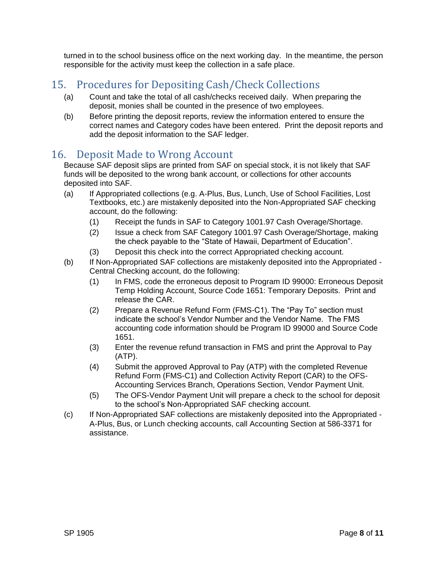turned in to the school business office on the next working day. In the meantime, the person responsible for the activity must keep the collection in a safe place.

# 15. Procedures for Depositing Cash/Check Collections

- (a) Count and take the total of all cash/checks received daily. When preparing the deposit, monies shall be counted in the presence of two employees.
- (b) Before printing the deposit reports, review the information entered to ensure the correct names and Category codes have been entered. Print the deposit reports and add the deposit information to the SAF ledger.

### 16. Deposit Made to Wrong Account

Because SAF deposit slips are printed from SAF on special stock, it is not likely that SAF funds will be deposited to the wrong bank account, or collections for other accounts deposited into SAF.

- (a) If Appropriated collections (e.g. A-Plus, Bus, Lunch, Use of School Facilities, Lost Textbooks, etc.) are mistakenly deposited into the Non-Appropriated SAF checking account, do the following:
	- (1) Receipt the funds in SAF to Category 1001.97 Cash Overage/Shortage.
	- (2) Issue a check from SAF Category 1001.97 Cash Overage/Shortage, making the check payable to the "State of Hawaii, Department of Education".
	- (3) Deposit this check into the correct Appropriated checking account.
- (b) If Non-Appropriated SAF collections are mistakenly deposited into the Appropriated Central Checking account, do the following:
	- (1) In FMS, code the erroneous deposit to Program ID 99000: Erroneous Deposit Temp Holding Account, Source Code 1651: Temporary Deposits. Print and release the CAR.
	- (2) Prepare a Revenue Refund Form (FMS-C1). The "Pay To" section must indicate the school's Vendor Number and the Vendor Name. The FMS accounting code information should be Program ID 99000 and Source Code 1651.
	- (3) Enter the revenue refund transaction in FMS and print the Approval to Pay (ATP).
	- (4) Submit the approved Approval to Pay (ATP) with the completed Revenue Refund Form (FMS-C1) and Collection Activity Report (CAR) to the OFS-Accounting Services Branch, Operations Section, Vendor Payment Unit.
	- (5) The OFS-Vendor Payment Unit will prepare a check to the school for deposit to the school's Non-Appropriated SAF checking account.
- (c) If Non-Appropriated SAF collections are mistakenly deposited into the Appropriated A-Plus, Bus, or Lunch checking accounts, call Accounting Section at 586-3371 for assistance.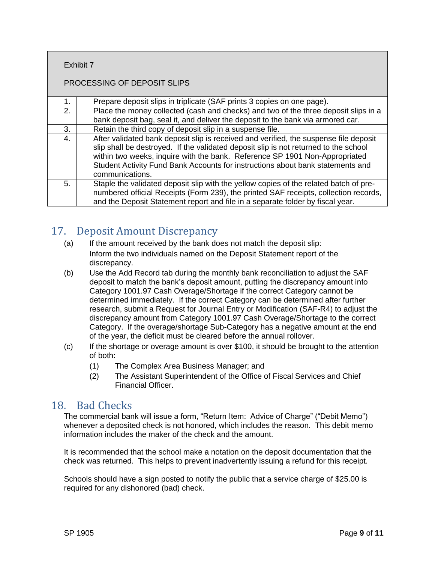| Exhibit 7 |  |
|-----------|--|
|           |  |

#### PROCESSING OF DEPOSIT SLIPS

| 1. | Prepare deposit slips in triplicate (SAF prints 3 copies on one page).                                                                                                                                                                                                                                                                                            |
|----|-------------------------------------------------------------------------------------------------------------------------------------------------------------------------------------------------------------------------------------------------------------------------------------------------------------------------------------------------------------------|
| 2. | Place the money collected (cash and checks) and two of the three deposit slips in a                                                                                                                                                                                                                                                                               |
|    | bank deposit bag, seal it, and deliver the deposit to the bank via armored car.                                                                                                                                                                                                                                                                                   |
| 3. | Retain the third copy of deposit slip in a suspense file.                                                                                                                                                                                                                                                                                                         |
| 4. | After validated bank deposit slip is received and verified, the suspense file deposit<br>slip shall be destroyed. If the validated deposit slip is not returned to the school<br>within two weeks, inquire with the bank. Reference SP 1901 Non-Appropriated<br>Student Activity Fund Bank Accounts for instructions about bank statements and<br>communications. |
| 5. | Staple the validated deposit slip with the yellow copies of the related batch of pre-<br>numbered official Receipts (Form 239), the printed SAF receipts, collection records,<br>and the Deposit Statement report and file in a separate folder by fiscal year.                                                                                                   |

### 17. Deposit Amount Discrepancy

- (a) If the amount received by the bank does not match the deposit slip: Inform the two individuals named on the Deposit Statement report of the discrepancy.
- (b) Use the Add Record tab during the monthly bank reconciliation to adjust the SAF deposit to match the bank's deposit amount, putting the discrepancy amount into Category 1001.97 Cash Overage/Shortage if the correct Category cannot be determined immediately. If the correct Category can be determined after further research, submit a Request for Journal Entry or Modification (SAF-R4) to adjust the discrepancy amount from Category 1001.97 Cash Overage/Shortage to the correct Category. If the overage/shortage Sub-Category has a negative amount at the end of the year, the deficit must be cleared before the annual rollover.
- (c) If the shortage or overage amount is over \$100, it should be brought to the attention of both:
	- (1) The Complex Area Business Manager; and
	- (2) The Assistant Superintendent of the Office of Fiscal Services and Chief Financial Officer.

### 18. Bad Checks

The commercial bank will issue a form, "Return Item: Advice of Charge" ("Debit Memo") whenever a deposited check is not honored, which includes the reason. This debit memo information includes the maker of the check and the amount.

It is recommended that the school make a notation on the deposit documentation that the check was returned. This helps to prevent inadvertently issuing a refund for this receipt.

Schools should have a sign posted to notify the public that a service charge of \$25.00 is required for any dishonored (bad) check.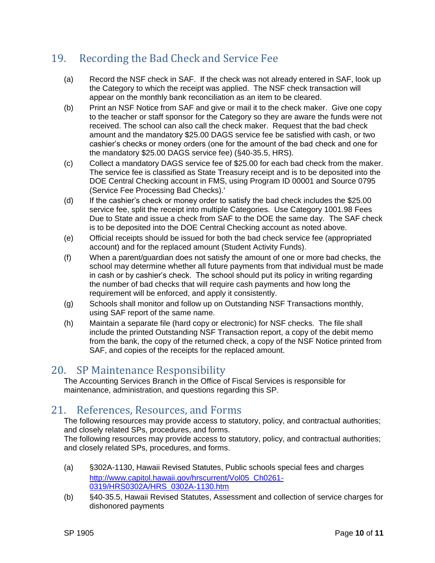# 19. Recording the Bad Check and Service Fee

- (a) Record the NSF check in SAF. If the check was not already entered in SAF, look up the Category to which the receipt was applied. The NSF check transaction will appear on the monthly bank reconciliation as an item to be cleared.
- (b) Print an NSF Notice from SAF and give or mail it to the check maker. Give one copy to the teacher or staff sponsor for the Category so they are aware the funds were not received. The school can also call the check maker. Request that the bad check amount and the mandatory \$25.00 DAGS service fee be satisfied with cash, or two cashier's checks or money orders (one for the amount of the bad check and one for the mandatory \$25.00 DAGS service fee) (§40-35.5, HRS).
- (c) Collect a mandatory DAGS service fee of \$25.00 for each bad check from the maker. The service fee is classified as State Treasury receipt and is to be deposited into the DOE Central Checking account in FMS, using Program ID 00001 and Source 0795 (Service Fee Processing Bad Checks).'
- (d) If the cashier's check or money order to satisfy the bad check includes the \$25.00 service fee, split the receipt into multiple Categories. Use Category 1001.98 Fees Due to State and issue a check from SAF to the DOE the same day. The SAF check is to be deposited into the DOE Central Checking account as noted above.
- (e) Official receipts should be issued for both the bad check service fee (appropriated account) and for the replaced amount (Student Activity Funds).
- (f) When a parent/guardian does not satisfy the amount of one or more bad checks, the school may determine whether all future payments from that individual must be made in cash or by cashier's check. The school should put its policy in writing regarding the number of bad checks that will require cash payments and how long the requirement will be enforced, and apply it consistently.
- (g) Schools shall monitor and follow up on Outstanding NSF Transactions monthly, using SAF report of the same name.
- (h) Maintain a separate file (hard copy or electronic) for NSF checks. The file shall include the printed Outstanding NSF Transaction report, a copy of the debit memo from the bank, the copy of the returned check, a copy of the NSF Notice printed from SAF, and copies of the receipts for the replaced amount.

### 20. SP Maintenance Responsibility

The Accounting Services Branch in the Office of Fiscal Services is responsible for maintenance, administration, and questions regarding this SP.

### 21. References, Resources, and Forms

The following resources may provide access to statutory, policy, and contractual authorities; and closely related SPs, procedures, and forms.

The following resources may provide access to statutory, policy, and contractual authorities; and closely related SPs, procedures, and forms.

- (a) §302A-1130, Hawaii Revised Statutes, Public schools special fees and charges [http://www.capitol.hawaii.gov/hrscurrent/Vol05\\_Ch0261-](http://www.capitol.hawaii.gov/hrscurrent/Vol05_Ch0261-0319/HRS0302A/HRS_0302A-1130.htm) [0319/HRS0302A/HRS\\_0302A-1130.htm](http://www.capitol.hawaii.gov/hrscurrent/Vol05_Ch0261-0319/HRS0302A/HRS_0302A-1130.htm)
- (b) §40-35.5, Hawaii Revised Statutes, Assessment and collection of service charges for dishonored payments